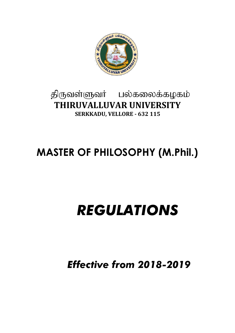

## திருவள்ளுவர் பல்கலைக்கழகம் **THIRUVALLUVAR UNIVERSITY SERKKADU, VELLORE - 632 115**

## **MASTER OF PHILOSOPHY (M.Phil.)**

# *REGULATIONS*

*Effective from 2018-2019*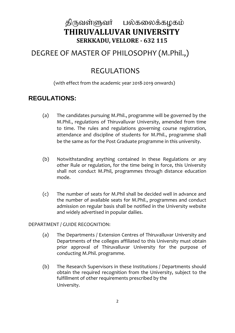## திருவள்ளுவர் பல்கலைக்கழகம் **THIRUVALLUVAR UNIVERSITY SERKKADU, VELLORE - 632 115**

## DEGREE OF MASTER OF PHILOSOPHY (M.Phil.,)

## REGULATIONS

#### (with effect from the academic year 2018-2019 onwards)

### **REGULATIONS:**

- (a) The candidates pursuing M.Phil., programme will be governed by the M.Phil., regulations of Thiruvalluvar University, amended from time to time. The rules and regulations governing course registration, attendance and discipline of students for M.Phil., programme shall be the same as for the Post Graduate programme in this university.
- (b) Notwithstanding anything contained in these Regulations or any other Rule or regulation, for the time being in force, this University shall not conduct M.Phil, programmes through distance education mode.
- (c) The number of seats for M.Phil shall be decided well in advance and the number of available seats for M.Phil., programmes and conduct admission on regular basis shall be notified in the University website and widely advertised in popular dailies.

#### DEPARTMENT / GUIDE RECOGNITION:

- (a) The Departments / Extension Centres of Thiruvalluvar University and Departments of the colleges affiliated to this University must obtain prior approval of Thiruvalluvar University for the purpose of conducting M.Phil. programme.
- (b) The Research Supervisors in these Institutions / Departments should obtain the required recognition from the University, subject to the fulfillment of other requirements prescribed by the University.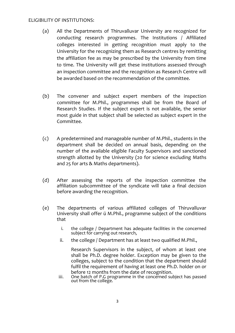#### ELIGIBILITY OF INSTITUTIONS:

- (a) All the Departments of Thiruvalluvar University are recognized for conducting research programmes. The Institutions / Affiliated colleges interested in getting recognition must apply to the University for the recognizing them as Research centres by remitting the affiliation fee as may be prescribed by the University from time to time. The University will get these institutions assessed through an inspection committee and the recognition as Research Centre will be awarded based on the recommendation of the committee.
- (b) The convener and subject expert members of the inspection committee for M.Phil., programmes shall be from the Board of Research Studies. If the subject expert is not available, the senior most guide in that subject shall be selected as subject expert in the Committee.
- (c) A predetermined and manageable number of M.Phil., students in the department shall be decided on annual basis, depending on the number of the available eligible Faculty Supervisors and sanctioned strength allotted by the University (20 for science excluding Maths and 25 for arts & Maths departments).
- (d) After assessing the reports of the inspection committee the affiliation subcommittee of the syndicate will take a final decision before awarding the recognition.
- (e) The departments of various affiliated colleges of Thiruvalluvar University shall offer ü M.Phil., programme subject of the conditions that
	- i. the college / Department has adequate facilities in the concerned subject for carrying out research,
	- ii. the college / Department has at least two qualified M.Phil.,

Research Supervisors in the subject, of whom at least one shall be Ph.D. degree holder. Exception may be given to the colleges, subject to the condition that the department should fulfil the requirement of having at least one Ph.D. holder on or before 12 months from the date of recognition.

iii. One batch of P.G programme in the concerned subject has passed out from the college.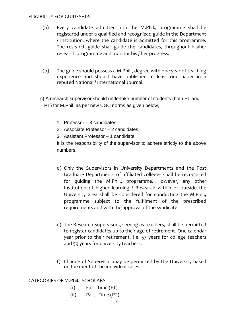#### ELIGIBILITY FOR GUIDESHIP:

- (a) Every candidate admitted into the M.Phil., programme shall be registered under a qualified and recognized guide in the Department / Institution, where the candidate is admitted for this programme. The research guide shall guide the candidates, throughout his/her research programme and monitor his / her progress.
- (b) The guide should possess a M.Phil., degree with one year of teaching experience and should have published at least one paper in a reputed National / International Journal.
- c) A research supervisor should undertake number of students (both FT and PT) for M.Phil. as per new UGC norms as given below,
	- 1. Professor 3 candidates
	- 2. Associate Professor 2 candidates
	- 3. Assistant Professor 1 candidate

It is the responsibility of the supervisor to adhere strictly to the above numbers.

- d) Only the Supervisors in University Departments and the Post Graduate Departments of affiliated colleges shall be recognized for guiding the M.Phil., programme. However, any other Institution of higher learning / Research within or outside the University area shall be considered for conducting the M.Phil., programme subject to the fulfilment of the prescribed requirements and with the approval of the syndicate.
- e) The Research Supervisors, serving as teachers, shall be permitted to register candidates up to their age of retirement. One calendar year prior to their retirement. I.e. 57 years for college teachers and 59 years for university teachers.
- f) Change of Supervisor may be permitted by the University based on the merit of the individual cases.

CATEGORIES OF M.Phil., SCHOLARS:

- $(i)$  Full Time  $(FT)$
- (ii) Part Time (PT)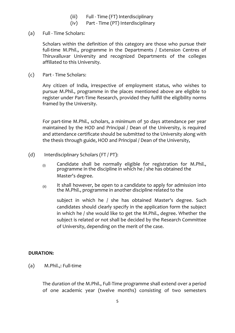- (iii) Full Time (FT) Interdisciplinary
- (iv) Part Time (PT) Interdisciplinary
- (a) Full Time Scholars:

Scholars within the definition of this category are those who pursue their full-time M.Phil., programme in the Departments / Extension Centres of Thiruvalluvar University and recognized Departments of the colleges affiliated to this University.

(c) Part - Time Scholars:

Any citizen of India, irrespective of employment status, who wishes to pursue M.Phil., programme in the places mentioned above are eligible to register under Part-Time Research, provided they fulfill the eligibility norms framed by the University.

For part-time M.Phil., scholars, a minimum of 30 days attendance per year maintained by the HOD and Principal / Dean of the University, is required and attendance certificate should be submitted to the University along with the thesis through guide, HOD and Principal / Dean of the University,

- (d) Interdisciplinary Scholars (FT / PT):
	- $(i)$  Candidate shall be normally eligible for registration for M.Phil., programme in the discipline in which he / she has obtained the Master's degree.
	- $(iii)$  It shall however, be open to a candidate to apply for admission into the M.Phil., programme in another discipline related to the

subject in which he / she has obtained Master's degree. Such candidates should clearly specify in the application form the subject in which he / she would like to get the M.Phil., degree. Whether the subject is related or not shall be decided by the Research Committee of University, depending on the merit of the case.

#### **DURATION:**

(a) M.Phil.,: Full-time

The duration of the M.Phil., Full-Time programme shall extend over a period of one academic year (twelve months) consisting of two semesters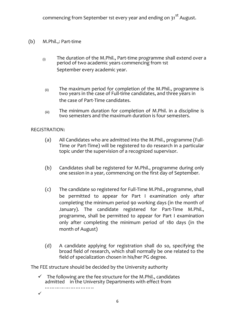- (b) M.Phil.,: Part-time
	- $(i)$  The duration of the M.Phil., Part-time programme shall extend over a period of two academic years commencing from 1st September every academic year.
	- $(iii)$  The maximum period for completion of the M.Phil., programme is two years in the case of Full-time candidates, and three years in the case of Part-Time candidates.
	- $_{(iii)}$  The minimum duration for completion of M.Phil. in a discipline is two semesters and the maximum duration is four semesters.

#### REGISTRATION:

- (a) All Candidates who are admitted into the M.Phil., programme (Full-Time or Part-Time) will be registered to do research in a particular topic under the supervision of a recognized supervisor.
- (b) Candidates shall be registered for M.Phil., programme during only one session in a year, commencing on the first day of September.
- (c) The candidate so registered for Full-Time M.Phil., programme, shall be permitted to appear for Part I examination only after completing the minimum period 90 working days (in the month of January). The candidate registered for Part-Time M.Phil., programme, shall be permitted to appear for Part I examination only after completing the minimum period of 180 days (in the month of August)
- (d) A candidate applying for registration shall do so, specifying the broad field of research, which shall normally be one related to the field of specialization chosen in his/her PG degree.

The FEE structure should be decided by the University authority

 $\checkmark$  The following are the fee structure for the M.Phil., candidates admitted in the University Departments with effect from ………………………………  $\checkmark$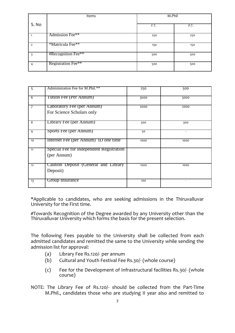|                | Items                  | M.Phil |      |
|----------------|------------------------|--------|------|
| S. No          |                        | F.T.   | P.T. |
|                | Admission Fee**        | 250    | 250  |
| $\overline{2}$ | *Matricula Fee**       | 150    | 150  |
| 3              | $# Recognition Free**$ | 500    | 500  |
| 4              | Registration Fee**     | 500    | 500  |

| 5              | Administration Fee for M.Phil.**                        | 250  | 500                      |
|----------------|---------------------------------------------------------|------|--------------------------|
| 6              | Tution Fee (Per Annum)                                  | 3000 | 3000                     |
| $\overline{7}$ | Laboratory Fee (per Annum)<br>For Science Scholars only | 2000 | 2000                     |
| $\overline{8}$ | Library Fee (per Annum)                                 | 300  | 300                      |
| 9              | Sports Fee (per Annum)                                  | 50   | $\overline{\phantom{a}}$ |
| 10             | Internet Fee (per Annum) ID one time                    | 1000 | 1000                     |
| 11             | Special Fee for independent Registration<br>(per Annum) |      |                          |
| 12             | Caution Deposit (General and Library<br>Deposit)        | 1000 | 1000                     |
| 13             | Group Insurance                                         | 100  |                          |

\*Applicable to candidates, who are seeking admissions in the Thiruvalluvar University for the First time.

#Towards Recognition of the Degree awarded by any University other than the Thiruvalluvar University which forms the basis for the present selection.

The following Fees payable to the University shall be collected from each admitted candidates and remitted the same to the University while sending the admission list for approval:

- (a) Library Fee Rs.120/- per annum
- (b) Cultural and Youth Festival Fee Rs.30/- (whole course)
- (c) Fee for the Development of Infrastructural facilities Rs.30/- (whole course)

NOTE: The Library Fee of Rs.120/- should be collected from the Part-Time M.Phil., candidates those who are studying II year also and remitted to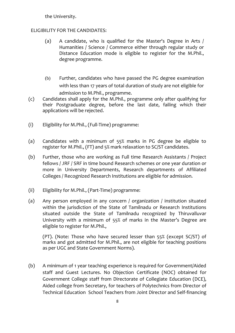the University.

#### ELIGIBILITY FOR THE CANDIDATES:

- (a) A candidate, who is qualified for the Master's Degree in Arts / Humanities / Science / Commerce either through regular study or Distance Education mode is eligible to register for the M.Phil., degree programme.
- (b) Further, candidates who have passed the PG degree examination with less than 17 years of total duration of study are not eligible for admission to M.Phil., programme.
- (c) Candidates shall apply for the M.Phil., programme only after qualifying for their Postgraduate degree, before the last date, failing which their applications will be rejected.
- (i) Eligibility for M.Phil., (Full-Time) programme:
- (a) Candidates with a minimum of 55% marks in PG degree be eligible to register for M.Phil., (FT) and 5% mark relaxation to SC/ST candidates.
- (b) Further, those who are working as Full time Research Assistants / Project fellows / JRF / SRF in time bound Research schemes or one year duration or more in University Departments, Research departments of Affiliated Colleges / Recognized Research Institutions are eligible for admission.
- (ii) Eligibility for M.Phil., (Part-Time) programme:
- (a) Any person employed in any concern / organization / institution situated within the jurisdiction of the State of Tamilnadu or Research Institutions situated outside the State of Tamilnadu recognized by Thiruvalluvar University with a minimum of 55% of marks in the Master's Degree are eligible to register for M.Phil.,

(PT). (Note: Those who have secured lesser than 55% (except SC/ST) of marks and got admitted for M.Phil., are not eligible for teaching positions as per UGC and State Government Norms).

(b) A minimum of 1 year teaching experience is required for Government/Aided staff and Guest Lectures. No Objection Certificate (NOC) obtained for Government College staff from Directorate of Collegiate Education (DCE), Aided college from Secretary, for teachers of Polytechnics from Director of Technical Education School Teachers from Joint Director and Self-financing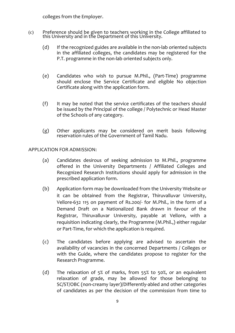colleges from the Employer.

- (c) Preference should be given to teachers working in the College affiliated to this University and in the Department of this University.
	- (d) If the recognized guides are available in the non-lab oriented subjects in the affiliated colleges, the candidates may be registered for the P.T. programme in the non-lab oriented subjects only.
	- (e) Candidates who wish to pursue M.Phil., (Part-Time) programme should enclose the Service Certificate and eligible No objection Certificate along with the application form.
	- (f) It may be noted that the service certificates of the teachers should be issued by the Principal of the college / Polytechnic or Head Master of the Schools of any category.
	- (g) Other applicants may be considered on merit basis following reservation rules of the Government of Tamil Nadu.

#### APPLICATION FOR ADMISSION:

- (a) Candidates desirous of seeking admission to M.Phil., programme offered in the University Departments / Affiliated Colleges and Recognized Research Institutions should apply for admission in the prescribed application form.
- (b) Application form may be downloaded from the University Website or it can be obtained from the Registrar, Thiruvalluvar University, Vellore-632 115 on payment of Rs.200/- for M.Phil., in the form of a Demand Draft on a Nationalized Bank drawn in favour of the Registrar, Thiruvalluvar University, payable at Vellore, with a requisition indicating clearly, the Programme (M.Phil.,) either regular or Part-Time, for which the application is required.
- (c) The candidates before applying are advised to ascertain the availability of vacancies in the concerned Departments / Colleges or with the Guide, where the candidates propose to register for the Research Programme.
- (d) The relaxation of 5% of marks, from 55% to 50%, or an equivalent relaxation of grade, may be allowed for those belonging to SC/ST/OBC (non-creamy layer)/Differently-abled and other categories of candidates as per the decision of the commission from time to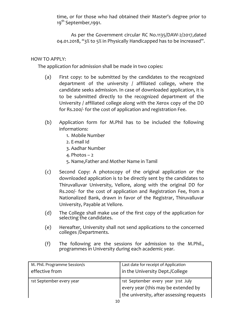time, or for those who had obtained their Master's degree prior to 19<sup>th</sup> September, 1991.

As per the Government circular RC No.1135/DAW-2/2017,dated 04.01.2018, "3% to 5% in Physically Handicapped has to be increased".

#### HOW TO APPLY:

The application for admission shall be made in two copies:

- (a) First copy: to be submitted by the candidates to the recognized department of the university / affiliated college, where the candidate seeks admission. In case of downloaded application, it is to be submitted directly to the recognized department of the University / affiliated college along with the Xerox copy of the DD for Rs.200/- for the cost of application and registration Fee.
- (b) Application form for M.Phil has to be included the following informations:
	- 1. Mobile Number
	- 2. E-mail Id
	- 3. Aadhar Number
	- 4. Photos 2
	- 5. Name,Father and Mother Name in Tamil
- (c) Second Copy: A photocopy of the original application or the downloaded application is to be directly sent by the candidates to Thiruvalluvar University, Vellore, along with the original DD for Rs.200/- for the cost of application and Registration Fee, from a Nationalized Bank, drawn in favor of the Registrar, Thiruvalluvar University, Payable at Vellore.
- (d) The College shall make use of the first copy of the application for selecting the candidates.
- (e) Hereafter, University shall not send applications to the concerned colleges /Departments.
- (f) The following are the sessions for admission to the M.Phil., programmes in University during each academic year.

| M. Phil. Programme Session/s | Last date for receipt of Application     |  |
|------------------------------|------------------------------------------|--|
| effective from               | in the University Dept./College          |  |
| 1st September every year     | 1st September every year 31st July       |  |
|                              | every year (this may be extended by      |  |
|                              | the university, after assessing requests |  |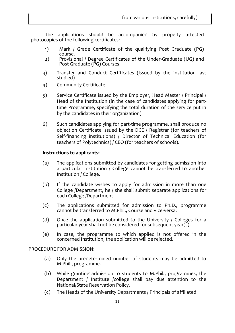The applications should be accompanied by properly attested photocopies of the following certificates:

- 1) Mark / Grade Certificate of the qualifying Post Graduate (PG) course.
- 2) Provisional / Degree Certificates of the Under-Graduate (UG) and Post-Graduate (PG) Courses.
- 3) Transfer and Conduct Certificates (issued by the Institution last studied)
- 4) Community Certificate
- 5) Service Certificate issued by the Employer, Head Master / Principal / Head of the Institution (in the case of candidates applying for parttime Programme, specifying the total duration of the service put in by the candidates in their organization)
- 6) Such candidates applying for part-time programme, shall produce no objection Certificate issued by the DCE / Registrar (for teachers of Self-financing institutions) / Director of Technical Education (for teachers of Polytechnics) / CEO (for teachers of schools).

#### **Instructions to applicants:**

- (a) The applications submitted by candidates for getting admission into a particular Institution / College cannot be transferred to another Institution / College.
- (b) If the candidate wishes to apply for admission in more than one College /Department, he / she shall submit separate applications for each College /Department.
- (c) The applications submitted for admission to Ph.D., programme cannot be transferred to M.Phil., Course and Vice-versa.
- (d) Once the application submitted to the University / Colleges for a particular year shall not be considered for subsequent year(s).
- (e) In case, the programme to which applied is not offered in the concerned Institution, the application will be rejected.

#### PROCEDURE FOR ADMISSION:

- (a) Only the predetermined number of students may be admitted to M.Phil., programme.
- (b) While granting admission to students to M.Phil., programmes, the Department / Institute /college shall pay due attention to the National/State Reservation Policy.
- (c) The Heads of the University Departments / Principals of affiliated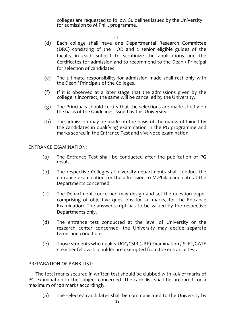colleges are requested to follow Guidelines issued by the University for admission to M.Phil., programme.

11

- (d) Each college shall have one Departmental Research Committee (DRC) consisting of the HOD and 2 senior eligible guides of the faculty in each subject to scrutinize the applications and the Certificates for admission and to recommend to the Dean / Principal for selection of candidates
- (e) The ultimate responsibility for admission made shall rest only with the Dean / Principals of the Colleges.
- (f) If it is observed at a later stage that the admissions given by the college is incorrect, the same will be cancelled by the University.
- (g) The Principals should certify that the selections are made strictly on the basis of the Guidelines issued by this University.
- (h) The admission may be made on the basis of the marks obtained by the candidates in qualifying examination in the PG programme and marks scored in the Entrance Test and viva-voce examination.

#### ENTRANCE EXAMINATION:

- (a) The Entrance Test shall be conducted after the publication of PG result.
- (b) The respective Colleges / University departments shall conduct the entrance examination for the admission to M.Phil., candidate at the Departments concerned.
- (c) The Department concerned may design and set the question paper comprising of objective questions for 50 marks, for the Entrance Examination. The answer script has to be valued by the respective Departments only.
- (d) The entrance test conducted at the level of University or the research center concerned, the University may decide separate terms and conditions.
- (e) Those students who qualify UGC/CSIR (JRF) Examination / SLET/GATE / teacher fellowship holder are exempted from the entrance test.

#### PREPARATION OF RANK LIST:

The total marks secured in written test should be clubbed with 50% of marks of PG examination in the subject concerned. The rank list shall be prepared for a maximum of 100 marks accordingly.

(a) The selected candidates shall be communicated to the University by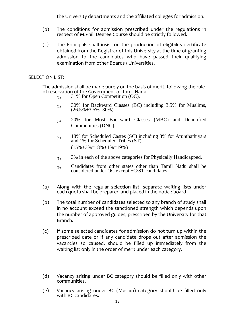the University departments and the affiliated colleges for admission.

- (b) The conditions for admission prescribed under the regulations in respect of M.Phil. Degree Course should be strictly followed.
- (c) The Principals shall insist on the production of eligibility certificate obtained from the Registrar of this University at the time of granting admission to the candidates who have passed their qualifying examination from other Boards / Universities.

#### SELECTION LIST:

The admission shall be made purely on the basis of merit, following the rule of reservation of the Government of Tamil Nadu.

- $(1)$  31% for Open Competition (OC).
- (2) 30% for Backward Classes (BC) including 3.5% for Muslims,  $(26.5\% + 3.5\% = 30\%)$
- (3) 20% for Most Backward Classes (MBC) and Denotified Communities (DNC).
- (4) 18% for Scheduled Castes (SC) including 3% for Arunthathiyars and 1% for Scheduled Tribes (ST).  $(15\% + 3\% = 18\% + 1\% = 19\%)$
- $(5)$  3% in each of the above categories for Physically Handicapped.
- (6) Candidates from other states other than Tamil Nadu shall be considered under OC except SC/ST candidates.
- (a) Along with the regular selection list, separate waiting lists under each quota shall be prepared and placed in the notice board.
- (b) The total number of candidates selected to any branch of study shall in no account exceed the sanctioned strength which depends upon the number of approved guides, prescribed by the University for that Branch.
- (c) If some selected candidates for admission do not turn up within the prescribed date or if any candidate drops out after admission the vacancies so caused, should be filled up immediately from the waiting list only in the order of merit under each category.
- (d) Vacancy arising under BC category should be filled only with other communities.
- (e) Vacancy arising under BC (Muslim) category should be filled only with BC candidates.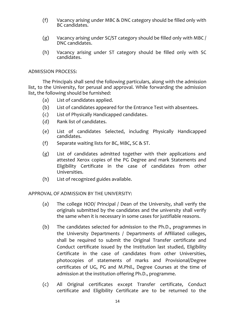- (f) Vacancy arising under MBC & DNC category should be filled only with BC candidates.
- (g) Vacancy arising under SC/ST category should be filled only with MBC / DNC candidates.
- (h) Vacancy arising under ST category should be filled only with SC candidates.

#### ADMISSION PROCESS:

The Principals shall send the following particulars, along with the admission list, to the University, for perusal and approval. While forwarding the admission list, the following should be furnished:

- (a) List of candidates applied.
- (b) List of candidates appeared for the Entrance Test with absentees.
- (c) List of Physically Handicapped candidates.
- (d) Rank list of candidates.
- (e) List of candidates Selected, including Physically Handicapped candidates.
- (f) Separate waiting lists for BC, MBC, SC & ST.
- (g) List of candidates admitted together with their applications and attested Xerox copies of the PG Degree and mark Statements and Eligibility Certificate in the case of candidates from other Universities.
- (h) List of recognized guides available.

#### APPROVAL OF ADMISSION BY THE UNIVERSITY:

- (a) The college HOD/ Principal / Dean of the University, shall verify the originals submitted by the candidates and the university shall verify the same when it is necessary in some cases for justifiable reasons.
- (b) The candidates selected for admission to the Ph.D., programmes in the University Departments / Departments of Affiliated colleges, shall be required to submit the Original Transfer certificate and Conduct certificate issued by the Institution last studied, Eligibility Certificate in the case of candidates from other Universities, photocopies of statements of marks and Provisional/Degree certificates of UG, PG and M.Phil., Degree Courses at the time of admission at the institution offering Ph.D., programme.
- (c) All Original certificates except Transfer certificate, Conduct certificate and Eligibility Certificate are to be returned to the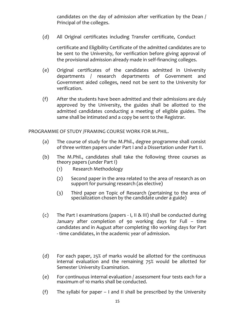candidates on the day of admission after verification by the Dean / Principal of the colleges.

(d) All Original certificates including Transfer certificate, Conduct

certificate and Eligibility Certificate of the admitted candidates are to be sent to the University, for verification before giving approval of the provisional admission already made in self-financing colleges.

- (e) Original certificates of the candidates admitted in University departments / research departments of Government and Government aided colleges, need not be sent to the University for verification.
- (f) After the students have been admitted and their admissions are duly approved by the University, the guides shall be allotted to the admitted candidates conducting a meeting of eligible guides. The same shall be intimated and a copy be sent to the Registrar.

PROGRAMME OF STUDY /FRAMING COURSE WORK FOR M.PHIL.

- (a) The course of study for the M.Phil., degree programme shall consist of three written papers under Part I and a Dissertation under Part II.
- (b) The M.Phil., candidates shall take the following three courses as theory papers (under Part I)
	- (1) Research Methodology
	- (2) Second paper in the area related to the area of research as on support for pursuing research (as elective)
	- (3) Third paper on Topic of Research (pertaining to the area of specialization chosen by the candidate under a guide)
- (c) The Part I examinations (papers I, II & III) shall be conducted during January after completion of 90 working days for Full – time candidates and in August after completing 180 working days for Part - time candidates, in the academic year of admission.
- (d) For each paper, 25% of marks would be allotted for the continuous internal evaluation and the remaining 75% would be allotted for Semester University Examination.
- (e) For continuous internal evaluation / assessment four tests each for a maximum of 10 marks shall be conducted.
- (f) The syllabi for paper  $-1$  and II shall be prescribed by the University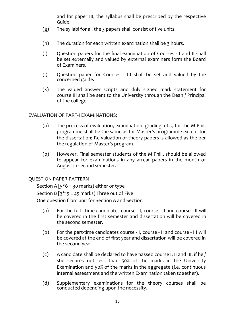and for paper III, the syllabus shall be prescribed by the respective Guide.

- (g) The syllabi for all the 3 papers shall consist of five units.
- (h) The duration for each written examination shall be 3 hours.
- (i) Question papers for the final examination of Courses I and II shall be set externally and valued by external examiners form the Board of Examiners.
- (j) Question paper for Courses III shall be set and valued by the concerned guide.
- (k) The valued answer scripts and duly signed mark statement for course III shall be sent to the University through the Dean / Principal of the college

#### EVALUATION OF PART-I EXAMINATIONS:

- (a) The process of evaluation, examination, grading, etc., for the M.Phil. programme shall be the same as for Master's programme except for the dissertation; Re-valuation of theory papers is allowed as the per the regulation of Master's program.
- (b) However, Final semester students of the M.Phil., should be allowed to appear for examinations in any arrear papers in the month of August in second semester.

#### QUESTION PAPER PATTERN

Section A  $\lceil 5*6 = 30$  marks) either or type Section B  $\sqrt{3}$  15 = 45 marks) Three out of Five One question from unit for Section A and Section

- (a) For the full time candidates course I, course II and course -III will be covered in the first semester and dissertation will be covered in the second semester.
- (b) For the part-time candidates course I, course II and course III will be covered at the end of first year and dissertation will be covered in the second year.
- (c) A candidate shall be declared to have passed course I, II and III, if he / she secures not less than 50% of the marks in the University Examination and 50% of the marks in the aggregate (i.e. continuous internal assessment and the written Examination taken together).
- (d) Supplementary examinations for the theory courses shall be conducted depending upon the necessity.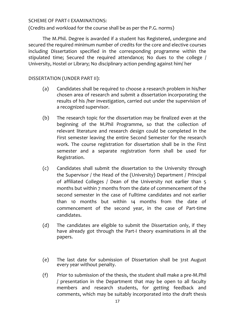SCHEME OF PART-I EXAMINATIONS:

(Credits and workload for the course shall be as per the P.G. norms)

The M.Phil. Degree is awarded if a student has Registered, undergone and secured the required minimum number of credits for the core and elective courses including Dissertation specified in the corresponding programme within the stipulated time; Secured the required attendance; No dues to the college / University, Hostel or Library; No disciplinary action pending against him/ her

#### DISSERTATION (UNDER PART II):

- (a) Candidates shall be required to choose a research problem in his/her chosen area of research and submit a dissertation incorporating the results of his /her investigation, carried out under the supervision of a recognized supervisor.
- (b) The research topic for the dissertation may be finalized even at the beginning of the M.Phil Programme, so that the collection of relevant literature and research design could be completed in the First semester leaving the entire Second Semester for the research work. The course registration for dissertation shall be in the First semester and a separate registration form shall be used for Registration.
- (c) Candidates shall submit the dissertation to the University through the Supervisor / the Head of the (University) Department / Principal of affiliated Colleges / Dean of the University not earlier than 5 months but within 7 months from the date of commencement of the second semester in the case of Fulltime candidates and not earlier than 10 months but within 14 months from the date of commencement of the second year, in the case of Part-time candidates.
- (d) The candidates are eligible to submit the Dissertation only, if they have already got through the Part-I theory examinations in all the papers.
- (e) The last date for submission of Dissertation shall be 31st August every year without penalty.
- (f) Prior to submission of the thesis, the student shall make a pre-M.Phil / presentation in the Department that may be open to all faculty members and research students, for getting feedback and comments, which may be suitably incorporated into the draft thesis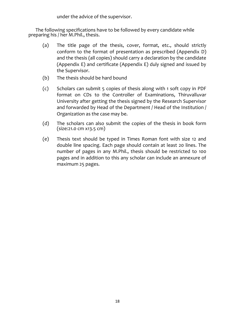under the advice of the supervisor.

The following specifications have to be followed by every candidate while preparing his / her M.Phil., thesis.

- (a) The title page of the thesis, cover, format, etc., should strictly conform to the format of presentation as prescribed (Appendix D) and the thesis (all copies) should carry a declaration by the candidate (Appendix E) and certificate (Appendix E) duly signed and issued by the Supervisor.
- (b) The thesis should be hard bound
- (c) Scholars can submit 5 copies of thesis along with 1 soft copy in PDF format on CDs to the Controller of Examinations, Thiruvalluvar University after getting the thesis signed by the Research Supervisor and forwarded by Head of the Department / Head of the Institution / Organization as the case may be.
- (d) The scholars can also submit the copies of the thesis in book form (size:21.0 cm x13.5 cm)
- (e) Thesis text should be typed in Times Roman font with size 12 and double line spacing. Each page should contain at least 20 lines. The number of pages in any M.Phil., thesis should be restricted to 100 pages and in addition to this any scholar can include an annexure of maximum 25 pages.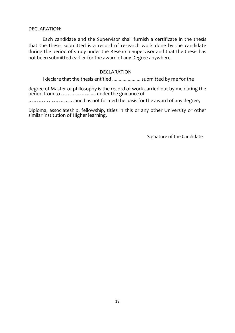DECLARATION:

Each candidate and the Supervisor shall furnish a certificate in the thesis that the thesis submitted is a record of research work done by the candidate during the period of study under the Research Supervisor and that the thesis has not been submitted earlier for the award of any Degree anywhere.

#### DECLARATION

I declare that the thesis entitled .................. ... submitted by me for the

degree of Master of philosophy is the record of work carried out by me during the period from to ……………....... under the guidance of

………………………and has not formed the basis for the award of any degree,

Diploma, associateship, fellowship, titles in this or any other University or other similar institution of Higher learning.

Signature of the Candidate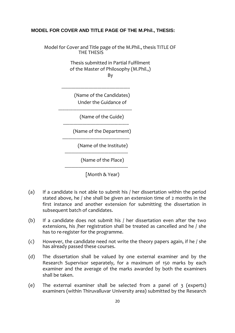#### **MODEL FOR COVER AND TITLE PAGE OF THE M.Phil., THESIS:**

Model for Cover and Title page of the M.Phil., thesis TITLE OF THE THESIS

> Thesis submitted in Partial Fulfilment of the Master of Philosophy (M.Phil.,) By

(Name of the Candidates) Under the Guidance of

-----------------------------------------------------

---------------------------------------------------------

---------------------------------------------------

(Name of the Guide)

(Name of the Department)

---------------------------------------------------- (Name of the Institute)

-------------------------------------------------

(Name of the Place)

[Month & Year)

-------------------------------------------------

- (a) If a candidate is not able to submit his / her dissertation within the period stated above, he / she shall be given an extension time of 2 months in the first instance and another extension for submitting the dissertation in subsequent batch of candidates.
- (b) If a candidate does not submit his / her dissertation even after the two extensions, his /her registration shall be treated as cancelled and he / she has to re-register for the programme.
- (c) However, the candidate need not write the theory papers again, if he / she has already passed these courses.
- (d) The dissertation shall be valued by one external examiner and by the Research Supervisor separately, for a maximum of 150 marks by each examiner and the average of the marks awarded by both the examiners shall be taken.
- (e) The external examiner shall be selected from a panel of 3 (experts) examiners (within Thiruvalluvar University area) submitted by the Research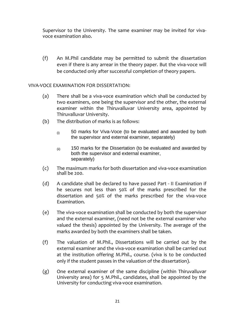Supervisor to the University. The same examiner may be invited for vivavoce examination also.

(f) An M.Phil candidate may be permitted to submit the dissertation even if there is any arrear in the theory paper. But the viva-voce will be conducted only after successful completion of theory papers.

#### VIVA-VOCE EXAMINATION FOR DISSERTATION:

- (a) There shall be a viva-voce examination which shall be conducted by two examiners, one being the supervisor and the other, the external examiner within the Thiruvalluvar University area, appointed by Thiruvalluvar University.
- (b) The distribution of marks is as follows:
	- $(i)$  50 marks for Viva-Voce (to be evaluated and awarded by both the supervisor and external examiner, separately)
	- $_{\rm (iii)}$  150 marks for the Dissertation (to be evaluated and awarded by both the supervisor and external examiner, separately)
- (c) The maximum marks for both dissertation and viva-voce examination shall be 200.
- (d) A candidate shall be declared to have passed Part II Examination if he secures not less than 50% of the marks prescribed for the dissertation and 50% of the marks prescribed for the viva-voce Examination.
- (e) The viva-voce examination shall be conducted by both the supervisor and the external examiner, (need not be the external examiner who valued the thesis) appointed by the University. The average of the marks awarded by both the examiners shall be taken.
- (f) The valuation of M.Phil., Dissertations will be carried out by the external examiner and the viva-voce examination shall be carried out at the institution offering M.Phil., course. (viva is to be conducted only if the student passes in the valuation of the dissertation).
- (g) One external examiner of the same discipline (within Thiruvalluvar University area) for 5 M.Phil., candidates, shall be appointed by the University for conducting viva-voce examination.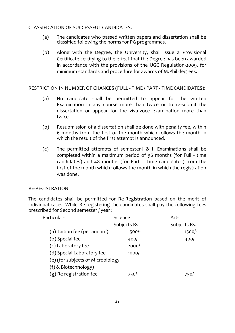#### CLASSIFICATION OF SUCCESSFUL CANDIDATES:

- (a) The candidates who passed written papers and dissertation shall be classified following the norms for PG programmes.
- (b) Along with the Degree, the University, shall issue a Provisional Certificate certifying to the effect that the Degree has been awarded in accordance with the provisions of the UGC Regulation-2009, for minimum standards and procedure for awards of M.Phil degrees.

RESTRICTION IN NUMBER OF CHANCES (FULL - TIME / PART - TIME CANDIDATES):

- (a) No candidate shall be permitted to appear for the written Examination in any course more than twice or to re-submit the dissertation or appear for the viva-voce examination more than twice.
- (b) Resubmission of a dissertation shall be done with penalty fee, within 6 months from the first of the month which follows the month in which the result of the first attempt is announced.
- (c) The permitted attempts of semester-I & II Examinations shall be completed within a maximum period of 36 months (for Full - time candidates) and 48 months (for Part – Time candidates) from the first of the month which follows the month in which the registration was done.

#### RE-REGISTRATION:

The candidates shall be permitted for Re-Registration based on the merit of individual cases. While Re-registering the candidates shall pay the following fees prescribed for Second semester / year :

| <b>Particulars</b>                | Science      | Arts         |
|-----------------------------------|--------------|--------------|
|                                   | Subjects Rs. | Subjects Rs. |
| (a) Tuition fee (per annum)       | $1500 -$     | $1500/-$     |
| (b) Special fee                   | $400 -$      | $400/-$      |
| (c) Laboratory fee                | $2000/-$     |              |
| (d) Special Laboratory fee        | $1000$ -     |              |
| (e) (for subjects of Microbiology |              |              |
| (f) & Biotechnology)              |              |              |
| (g) Re-registration fee           | 7501-        |              |